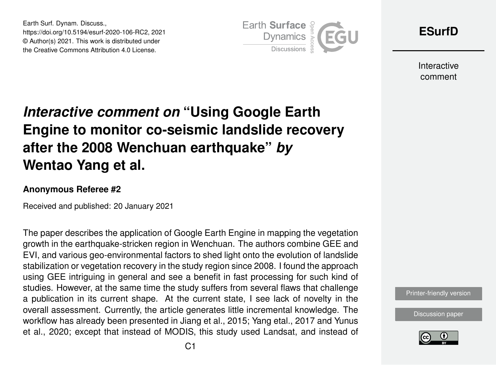Earth Surf. Dynam. Discuss., https://doi.org/10.5194/esurf-2020-106-RC2, 2021 © Author(s) 2021. This work is distributed under the Creative Commons Attribution 4.0 License.



**[ESurfD](https://esurf.copernicus.org/preprints/)**

Interactive comment

## *Interactive comment on* **"Using Google Earth Engine to monitor co-seismic landslide recovery after the 2008 Wenchuan earthquake"** *by* **Wentao Yang et al.**

## **Anonymous Referee #2**

Received and published: 20 January 2021

The paper describes the application of Google Earth Engine in mapping the vegetation growth in the earthquake-stricken region in Wenchuan. The authors combine GEE and EVI, and various geo-environmental factors to shed light onto the evolution of landslide stabilization or vegetation recovery in the study region since 2008. I found the approach using GEE intriguing in general and see a benefit in fast processing for such kind of studies. However, at the same time the study suffers from several flaws that challenge a publication in its current shape. At the current state, I see lack of novelty in the overall assessment. Currently, the article generates little incremental knowledge. The workflow has already been presented in Jiang et al., 2015; Yang etal., 2017 and Yunus et al., 2020; except that instead of MODIS, this study used Landsat, and instead of



[Discussion paper](https://esurf.copernicus.org/preprints/esurf-2020-106)